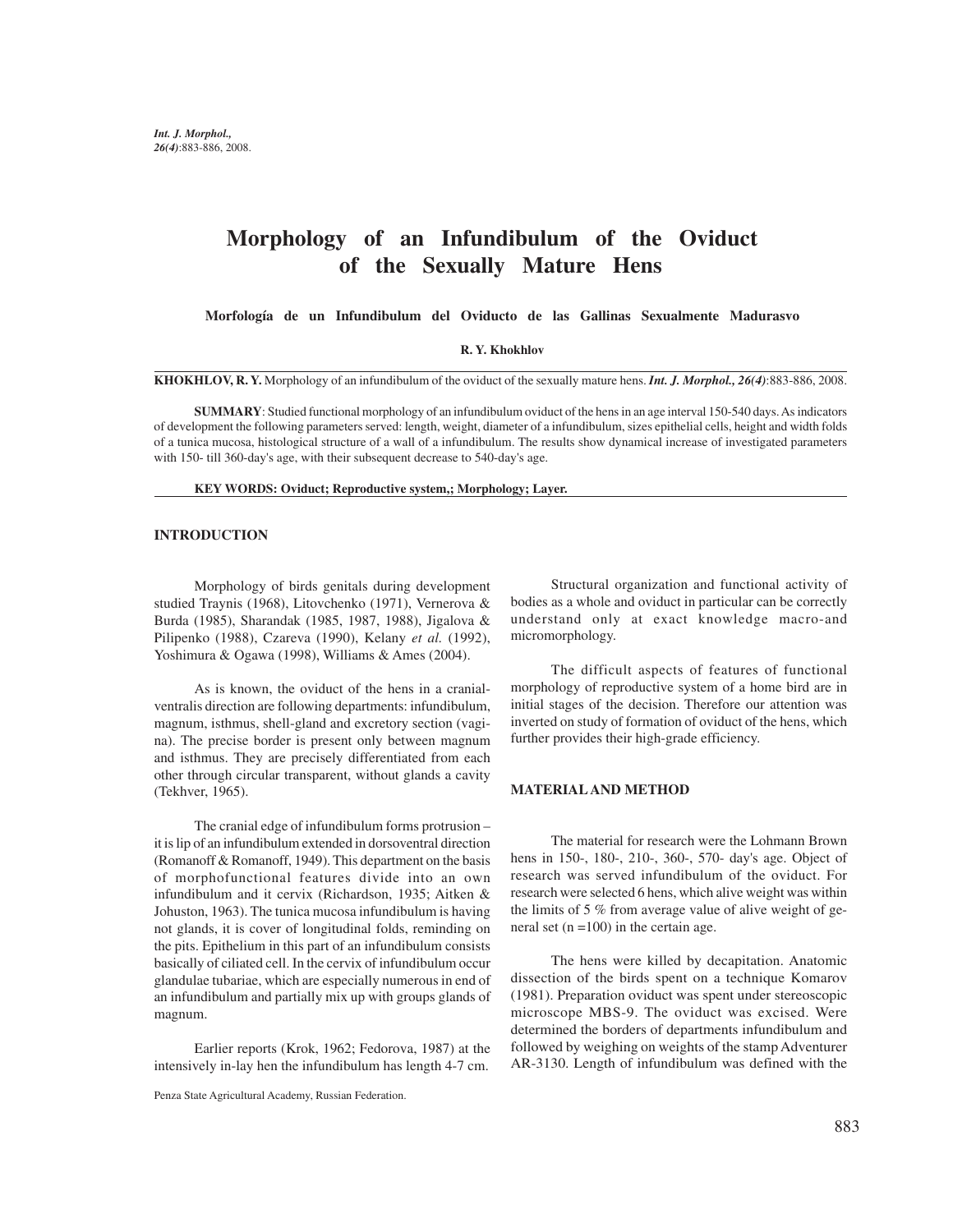# **Morphology of an Infundibulum of the Oviduct of the Sexually Mature Hens**

 **Morfología de un Infundibulum del Oviducto de las Gallinas Sexualmente Madurasvo**

#### **R. Y. Khokhlov**

**KHOKHLOV, R. Y.** Morphology of an infundibulum of the oviduct of the sexually mature hens. *Int. J. Morphol., 26(4)*:883-886, 2008.

**SUMMARY**: Studied functional morphology of an infundibulum oviduct of the hens in an age interval 150-540 days. As indicators of development the following parameters served: length, weight, diameter of a infundibulum, sizes epithelial cells, height and width folds of a tunica mucosa, histological structure of a wall of a infundibulum. The results show dynamical increase of investigated parameters with 150- till 360-day's age, with their subsequent decrease to 540-day's age.

#### **KEY WORDS: Oviduct; Reproductive system,; Morphology; Layer.**

#### **INTRODUCTION**

Morphology of birds genitals during development studied Traynis (1968), Litovchenko (1971), Vernerova & Burda (1985), Sharandak (1985, 1987, 1988), Jigalova & Pilipenko (1988), Czareva (1990), Kelany *et al.* (1992), Yoshimura & Ogawa (1998), Williams & Ames (2004).

As is known, the oviduct of the hens in a cranialventralis direction are following departments: infundibulum, magnum, isthmus, shell-gland and excretory section (vagina). The precise border is present only between magnum and isthmus. They are precisely differentiated from each other through circular transparent, without glands a cavity (Tekhver, 1965).

The cranial edge of infundibulum forms protrusion – it is lip of an infundibulum extended in dorsoventral direction (Romanoff & Romanoff, 1949). This department on the basis of morphofunctional features divide into an own infundibulum and it cervix (Richardson, 1935; Aitken & Johuston, 1963). The tunica mucosa infundibulum is having not glands, it is cover of longitudinal folds, reminding on the pits. Epithelium in this part of an infundibulum consists basically of ciliated cell. In the cervix of infundibulum occur glandulae tubariae, which are especially numerous in end of an infundibulum and partially mix up with groups glands of magnum.

Earlier reports (Krok, 1962; Fedorova, 1987) at the intensively in-lay hen the infundibulum has length 4-7 cm.

Structural organization and functional activity of bodies as a whole and oviduct in particular can be correctly understand only at exact knowledge macro-and micromorphology.

The difficult aspects of features of functional morphology of reproductive system of a home bird are in initial stages of the decision. Therefore our attention was inverted on study of formation of oviduct of the hens, which further provides their high-grade efficiency.

## **MATERIAL AND METHOD**

The material for research were the Lohmann Brown hens in 150-, 180-, 210-, 360-, 570- day's age. Object of research was served infundibulum of the oviduct. For research were selected 6 hens, which alive weight was within the limits of 5 % from average value of alive weight of general set  $(n = 100)$  in the certain age.

The hens were killed by decapitation. Anatomic dissection of the birds spent on a technique Komarov (1981). Preparation oviduct was spent under stereoscopic microscope MBS-9. The oviduct was excised. Were determined the borders of departments infundibulum and followed by weighing on weights of the stamp Adventurer AR-3130. Length of infundibulum was defined with the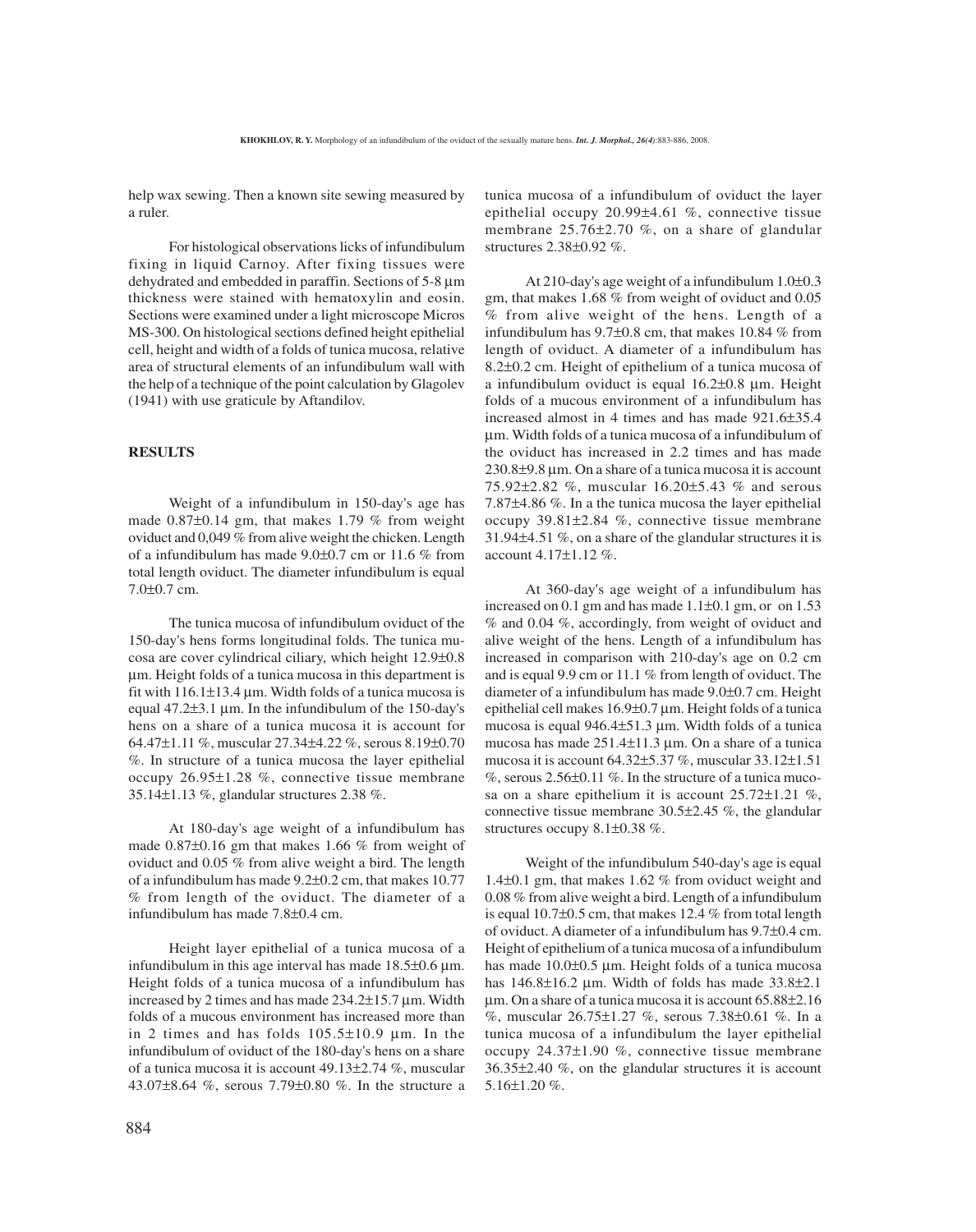help wax sewing. Then a known site sewing measured by a ruler.

For histological observations licks of infundibulum fixing in liquid Carnoy. After fixing tissues were dehydrated and embedded in paraffin. Sections of 5-8 µm thickness were stained with hematoxylin and eosin. Sections were examined under a light microscope Micros MS-300. On histological sections defined height epithelial cell, height and width of a folds of tunica mucosa, relative area of structural elements of an infundibulum wall with the help of a technique of the point calculation by Glagolev (1941) with use graticule by Aftandilov.

## **RESULTS**

Weight of a infundibulum in 150-day's age has made 0.87±0.14 gm, that makes 1.79 % from weight oviduct and 0,049 % from alive weight the chicken. Length of a infundibulum has made 9.0±0.7 cm or 11.6 % from total length oviduct. The diameter infundibulum is equal 7.0±0.7 cm.

The tunica mucosa of infundibulum oviduct of the 150-day's hens forms longitudinal folds. The tunica mucosa are cover cylindrical ciliary, which height 12.9±0.8 µm. Height folds of a tunica mucosa in this department is fit with  $116.1\pm13.4$  µm. Width folds of a tunica mucosa is equal 47.2±3.1 µm. In the infundibulum of the 150-day's hens on a share of a tunica mucosa it is account for 64.47±1.11 %, muscular 27.34±4.22 %, serous 8.19±0.70 %. In structure of a tunica mucosa the layer epithelial occupy 26.95±1.28 %, connective tissue membrane 35.14±1.13 %, glandular structures 2.38 %.

At 180-day's age weight of a infundibulum has made 0.87±0.16 gm that makes 1.66 % from weight of oviduct and 0.05 % from alive weight a bird. The length of a infundibulum has made 9.2±0.2 cm, that makes 10.77 % from length of the oviduct. The diameter of a infundibulum has made 7.8±0.4 cm.

Height layer epithelial of a tunica mucosa of a infundibulum in this age interval has made  $18.5\pm0.6$  µm. Height folds of a tunica mucosa of a infundibulum has increased by 2 times and has made 234.2±15.7 µm. Width folds of a mucous environment has increased more than in 2 times and has folds 105.5±10.9 µm. In the infundibulum of oviduct of the 180-day's hens on a share of a tunica mucosa it is account 49.13±2.74 %, muscular 43.07±8.64 %, serous 7.79±0.80 %. In the structure a tunica mucosa of a infundibulum of oviduct the layer epithelial occupy 20.99±4.61 %, connective tissue membrane 25.76±2.70 %, on a share of glandular structures 2.38±0.92 %.

At 210-day's age weight of a infundibulum 1.0±0.3 gm, that makes 1.68 % from weight of oviduct and 0.05 % from alive weight of the hens. Length of a infundibulum has 9.7±0.8 cm, that makes 10.84 % from length of oviduct. A diameter of a infundibulum has 8.2±0.2 cm. Height of epithelium of a tunica mucosa of a infundibulum oviduct is equal 16.2±0.8 µm. Height folds of a mucous environment of a infundibulum has increased almost in 4 times and has made 921.6 $\pm$ 35.4 µm. Width folds of a tunica mucosa of a infundibulum of the oviduct has increased in 2.2 times and has made 230.8±9.8 µm. On a share of a tunica mucosa it is account 75.92±2.82 %, muscular 16.20±5.43 % and serous 7.87±4.86 %. In a the tunica mucosa the layer epithelial occupy 39.81±2.84 %, connective tissue membrane 31.94±4.51 %, on a share of the glandular structures it is account 4.17±1.12 %.

At 360-day's age weight of a infundibulum has increased on  $0.1$  gm and has made  $1.1\pm0.1$  gm, or on  $1.53$ % and 0.04 %, accordingly, from weight of oviduct and alive weight of the hens. Length of a infundibulum has increased in comparison with 210-day's age on 0.2 cm and is equal 9.9 cm or 11.1 % from length of oviduct. The diameter of a infundibulum has made 9.0±0.7 cm. Height epithelial cell makes 16.9±0.7 µm. Height folds of a tunica mucosa is equal 946.4±51.3 µm. Width folds of a tunica mucosa has made 251.4±11.3 µm. On a share of a tunica mucosa it is account 64.32±5.37 %, muscular 33.12±1.51  $\%$ , serous 2.56 $\pm$ 0.11  $\%$ . In the structure of a tunica mucosa on a share epithelium it is account 25.72±1.21 %, connective tissue membrane 30.5±2.45 %, the glandular structures occupy 8.1±0.38 %.

Weight of the infundibulum 540-day's age is equal 1.4±0.1 gm, that makes 1.62 % from oviduct weight and 0.08 % from alive weight a bird. Length of a infundibulum is equal 10.7±0.5 cm, that makes 12.4 % from total length of oviduct. A diameter of a infundibulum has 9.7±0.4 cm. Height of epithelium of a tunica mucosa of a infundibulum has made 10.0 $\pm$ 0.5 µm. Height folds of a tunica mucosa has  $146.8\pm16.2$  µm. Width of folds has made  $33.8\pm2.1$ µm. On a share of a tunica mucosa it is account 65.88±2.16 %, muscular 26.75±1.27 %, serous 7.38±0.61 %. In a tunica mucosa of a infundibulum the layer epithelial occupy 24.37±1.90 %, connective tissue membrane 36.35±2.40 %, on the glandular structures it is account 5.16±1.20 %.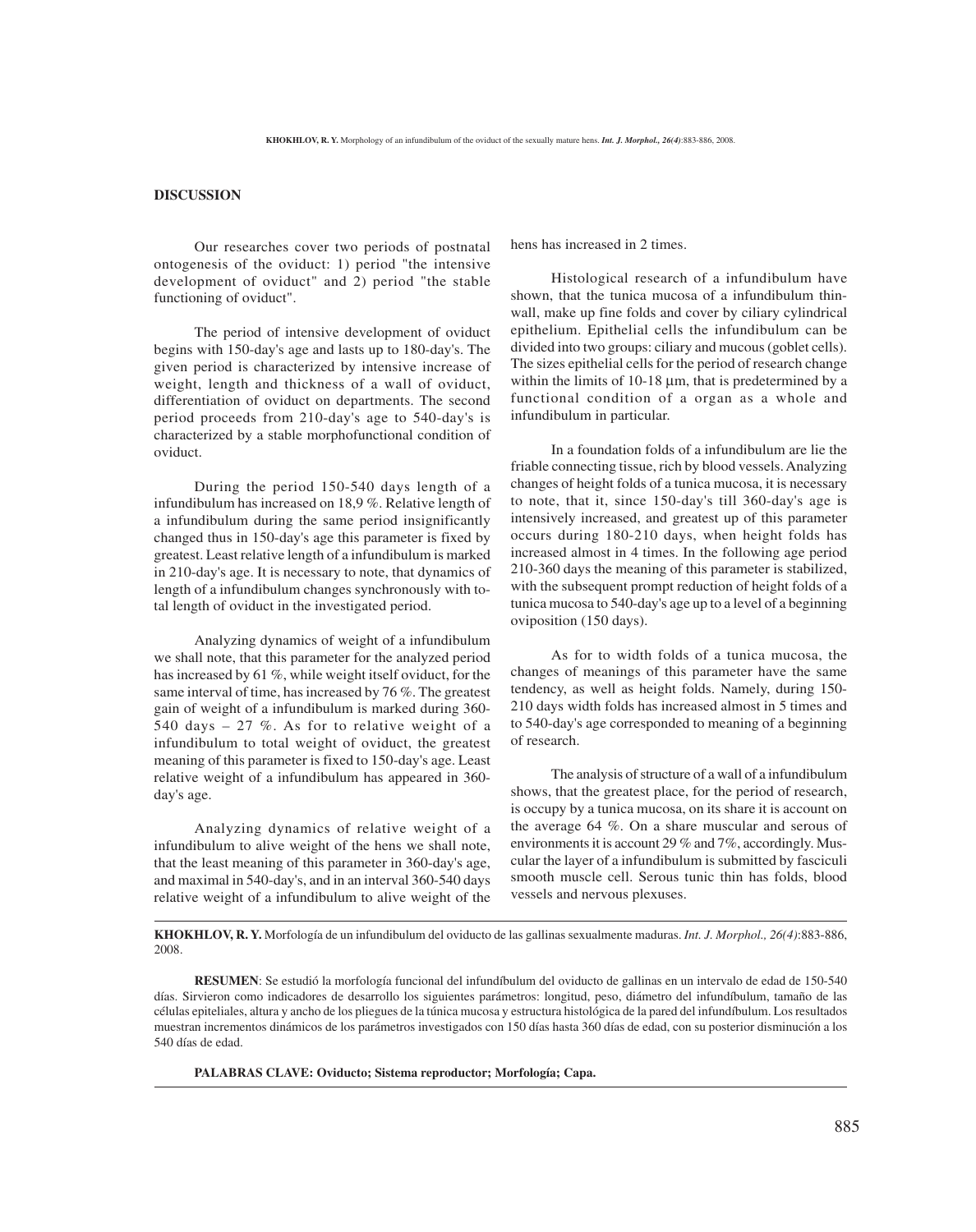## **DISCUSSION**

Our researches cover two periods of postnatal ontogenesis of the oviduct: 1) period "the intensive development of oviduct" and 2) period "the stable functioning of oviduct".

The period of intensive development of oviduct begins with 150-day's age and lasts up to 180-day's. The given period is characterized by intensive increase of weight, length and thickness of a wall of oviduct, differentiation of oviduct on departments. The second period proceeds from 210-day's age to 540-day's is characterized by a stable morphofunctional condition of oviduct.

During the period 150-540 days length of a infundibulum has increased on 18,9 %. Relative length of a infundibulum during the same period insignificantly changed thus in 150-day's age this parameter is fixed by greatest. Least relative length of a infundibulum is marked in 210-day's age. It is necessary to note, that dynamics of length of a infundibulum changes synchronously with total length of oviduct in the investigated period.

Analyzing dynamics of weight of a infundibulum we shall note, that this parameter for the analyzed period has increased by 61 %, while weight itself oviduct, for the same interval of time, has increased by 76 %. The greatest gain of weight of a infundibulum is marked during 360- 540 days  $-27$  %. As for to relative weight of a infundibulum to total weight of oviduct, the greatest meaning of this parameter is fixed to 150-day's age. Least relative weight of a infundibulum has appeared in 360 day's age.

Analyzing dynamics of relative weight of a infundibulum to alive weight of the hens we shall note, that the least meaning of this parameter in 360-day's age, and maximal in 540-day's, and in an interval 360-540 days relative weight of a infundibulum to alive weight of the hens has increased in 2 times.

Histological research of a infundibulum have shown, that the tunica mucosa of a infundibulum thinwall, make up fine folds and cover by ciliary cylindrical epithelium. Epithelial cells the infundibulum can be divided into two groups: ciliary and mucous (goblet cells). The sizes epithelial cells for the period of research change within the limits of  $10-18 \mu m$ , that is predetermined by a functional condition of a organ as a whole and infundibulum in particular.

In a foundation folds of a infundibulum are lie the friable connecting tissue, rich by blood vessels. Analyzing changes of height folds of a tunica mucosa, it is necessary to note, that it, since 150-day's till 360-day's age is intensively increased, and greatest up of this parameter occurs during 180-210 days, when height folds has increased almost in 4 times. In the following age period 210-360 days the meaning of this parameter is stabilized, with the subsequent prompt reduction of height folds of a tunica mucosa to 540-day's age up to a level of a beginning oviposition (150 days).

As for to width folds of a tunica mucosa, the changes of meanings of this parameter have the same tendency, as well as height folds. Namely, during 150- 210 days width folds has increased almost in 5 times and to 540-day's age corresponded to meaning of a beginning of research.

The analysis of structure of a wall of a infundibulum shows, that the greatest place, for the period of research, is occupy by a tunica mucosa, on its share it is account on the average 64 %. On a share muscular and serous of environments it is account 29 % and 7%, accordingly. Muscular the layer of a infundibulum is submitted by fasciculi smooth muscle cell. Serous tunic thin has folds, blood vessels and nervous plexuses.

**KHOKHLOV, R. Y.** Morfología de un infundibulum del oviducto de las gallinas sexualmente maduras. *Int. J. Morphol., 26(4)*:883-886, 2008.

**RESUMEN**: Se estudió la morfología funcional del infundíbulum del oviducto de gallinas en un intervalo de edad de 150-540 días. Sirvieron como indicadores de desarrollo los siguientes parámetros: longitud, peso, diámetro del infundíbulum, tamaño de las células epiteliales, altura y ancho de los pliegues de la túnica mucosa y estructura histológica de la pared del infundíbulum. Los resultados muestran incrementos dinámicos de los parámetros investigados con 150 días hasta 360 días de edad, con su posterior disminución a los 540 días de edad.

**PALABRAS CLAVE: Oviducto; Sistema reproductor; Morfología; Capa.**